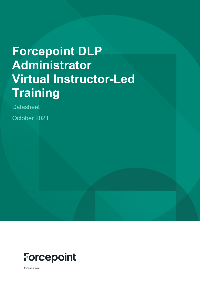# **Forcepoint DLP Administrator Virtual Instructor-Led Training**

**Datasheet** October 2021



forcepoint.com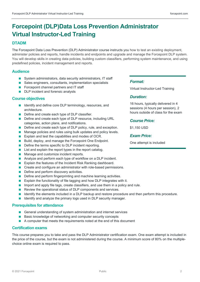### **Forcepoint (DLP)Data Loss Prevention Administrator Virtual Instructor-Led Training**

#### **DTADM**

The Forcepoint Data Loss Prevention (DLP) Administrator course instructs you how to test an existing deployment, administer policies and reports, handle incidents and endpoints and upgrade and manage the Forcepoint DLP system. You will develop skills in creating data policies, building custom classifiers, performing system maintenance, and using predefined policies, incident management and reports.

#### **Audience**

- System administrators, data security administrators, IT staff
- Sales engineers, consultants, implementation specialists
- **Forcepoint channel partners and IT staff**
- **DLP** incident and forensic analysts

#### **Course objectives**

- Identify and define core DLP terminology, resources, and architecture.
- Define and create each type of DLP classifier.
- Define and create each type of DLP resource, including URL categories, action plans, and notifications.
- Define and create each type of DLP policy, rule, and exception.
- **Manage policies and rules using bulk updates and policy levels.**
- **EXPLAINER IN EXPLAINE AND EXPLAINE IN EXPLAIN** and the capabilities and modes of OCR.
- Build, deploy, and manage the Forcepoint One Endpoint.
- Define the terms specific to DLP incident reporting.
- **List and explain the report types in the report catalog.**
- **Manage and customize incident reports.**
- Analyze and perform each type of workflow on a DLP incident.
- **Explain the features of the Incident Risk Ranking dashboard.**
- Create and configure an administrator with role-based permissions.
- Define and perform discovery activities.
- **Define and perform fingerprinting and machine learning activities.**
- **Explain the functionality of file tagging and how DLP integrates with it.**
- Import and apply file tags, create classifiers, and use them in a policy and rule.
- Review the operational status of DLP components and services.
- I Identify the elements included in a DLP backup and restore procedure and then perform this procedure.
- **If** Identify and analyze the primary logs used in DLP security manager.

#### **Prerequisites for attendance**

- General understanding of system administration and internet services
- Basic knowledge of networking and computer security concepts
- A computer that meets the requirements noted at the end of this document

#### **Certification exams**

This course prepares you to take and pass the DLP Administrator certification exam. One exam attempt is included in the price of the course, but the exam is not administered during the course. A minimum score of 80% on the multiplechoice online exam is required to pass.

#### *Format:*

Virtual Instructor-Led Training

#### *Duration:*

16 hours, typically delivered in 4 sessions (4 hours per session), 2 hours outside of class for the exam

#### *Course Price:*

\$1,150 USD

#### *Exam Price:*

One attempt is included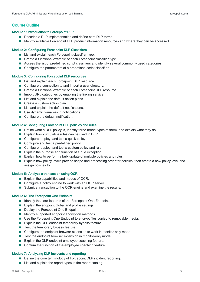#### **Course Outline**

#### **Module 1: Introduction to Forcepoint DLP**

- Describe a DLP implementation and define core DLP terms.
- **In** Identify available Forcepoint DLP product information resources and where they can be accessed.

#### **Module 2: Configuring Forcepoint DLP Classifiers**

- List and explain each Forcepoint classifier type.
- Create a functional example of each Forcepoint classifier type.
- Access the list of predefined script classifiers and identify several commonly used categories.
- Configure the parameters of a predefined script classifier.

#### **Module 3: Configuring Forcepoint DLP resources**

- List and explain each Forcepoint DLP resource.
- Configure a connection to and import a user directory.
- Create a functional example of each Forcepoint DLP resource.
- $\blacksquare$  Import URL categories by enabling the linking service.
- **List and explain the default action plans.**
- Create a custom action plan.
- List and explain the default notifications.
- Use dynamic variables in notifications.
- Configure the default notification.

#### **Module 4: Configuring Forcepoint DLP policies and rules**

- Define what a DLP policy is, identify three broad types of them, and explain what they do.
- Explain how cumulative rules can be used in  $DLP$ .
- Configure, deploy, and test a quick policy.
- Configure and test a predefined policy.
- Configure, deploy, and test a custom policy and rule.
- **Explain the purpose and function of a rule exception.**
- Explain how to perform a bulk update of multiple policies and rules.
- **Explain how policy levels provide scope and processing order for policies, then create a new policy level and** assign policies to it.

#### **Module 5: Analyze a transaction using OCR**

- Explain the capabilities and modes of OCR.
- Configure a policy engine to work with an OCR server.
- Submit a transaction to the OCR engine and examine the results.

#### **Module 6: The Forcepoint One Endpoint**

- I Identify the core features of the Forcepoint One Endpoint.
- **Explain the endpoint global and profile settings.**
- Deploy the Forcepoint One Endpoint.
- I Identify supported endpoint encryption methods.
- Use the Forcepoint One Endpoint to encrypt files copied to removable media.
- **Explain the DLP endpoint temporary bypass feature.**
- $\blacksquare$  Test the temporary bypass feature.
- Configure the endpoint browser extension to work in monitor-only mode.
- Test the endpoint browser extension in monitor-only mode.
- **Explain the DLP endpoint employee coaching feature.**
- Confirm the function of the employee coaching feature.

#### **Module 7: Analyzing DLP incidents and reporting**

- Define the core terminology of Forcepoint DLP incident reporting.
- $\blacksquare$  List and explain the report types in the report catalog.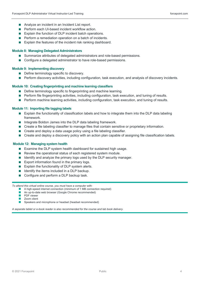- Analyze an incident in an Incident List report.
- **Perform each UI-based incident workflow action.**
- Explain the function of DLP incident batch operations.
- **Perform a remediation operation on a batch of incidents.**
- Explain the features of the incident risk ranking dashboard.

#### **Module 8: Managing Delegated Administrators**

- Summarize attributes of delegated administrators and role-based permissions.
- Configure a delegated administrator to have role-based permissions.

#### **Module 9: Implementing discovery**

- Define terminology specific to discovery.
- **Perform discovery activities, including configuration, task execution, and analysis of discovery incidents.**

#### **Module 10: Creating fingerprinting and machine learning classifiers**

- Define terminology specific to fingerprinting and machine learning.
- **Perform file fingerprinting activities, including configuration, task execution, and tuning of results.**
- **Perform machine learning activities, including configuration, task execution, and tuning of results.**

#### **Module 11: Importing file tagging labels**

- Explain the functionality of classification labels and how to integrate them into the DLP data labeling framework.
- Integrate Boldon James into the DLP data labeling framework.
- **EXECTE 2** Create a file labeling classifier to manage files that contain sensitive or proprietary information.
- Create and deploy a data usage policy using a file labeling classifier.
- **Create and deploy a discovery policy with an action plan capable of assigning file classification labels.**

#### **Module 12: Managing system health**

- Examine the DLP system health dashboard for sustained high usage.
- Review the operational status of each registered system module.
- I Identify and analyze the primary logs used by the DLP security manager.
- $\blacksquare$  Export information found in the primary logs.
- Explain the functionality of DLP system alerts.
- $\blacksquare$  Identify the items included in a DLP backup.
- Configure and perform a DLP backup task.

*To attend this virtual online course, you must have a computer with:* 

- **A** high-speed internet connection (minimum of 1 MB connection required)
- An up-to-date web browser (Google Chrome recommended)
- PDF viewer
- **Zoom** client
- Speakers and microphone or headset (headset recommended)

*A separate tablet or e-book reader is also recommended for the course and lab book delivery.*